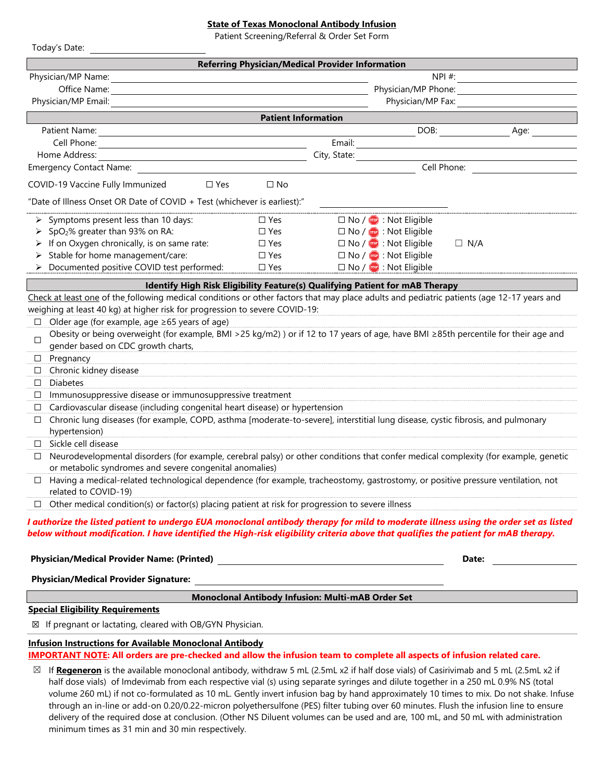## **State of Texas Monoclonal Antibody Infusion**

Patient Screening/Referral & Order Set Form

| Today's Date:                                                                                                                                                                                                                                                              |                            |                                                         |                                   |             |      |
|----------------------------------------------------------------------------------------------------------------------------------------------------------------------------------------------------------------------------------------------------------------------------|----------------------------|---------------------------------------------------------|-----------------------------------|-------------|------|
|                                                                                                                                                                                                                                                                            |                            | <b>Referring Physician/Medical Provider Information</b> |                                   |             |      |
| Physician/MP Name:                                                                                                                                                                                                                                                         |                            | $NPI$ #:                                                |                                   |             |      |
| Office Name:                                                                                                                                                                                                                                                               |                            | Physician/MP Phone:                                     |                                   |             |      |
| Physician/MP Email:                                                                                                                                                                                                                                                        |                            |                                                         | Physician/MP Fax:                 |             |      |
|                                                                                                                                                                                                                                                                            | <b>Patient Information</b> |                                                         |                                   |             |      |
| Patient Name:                                                                                                                                                                                                                                                              |                            |                                                         | DOB:                              |             | Age: |
| Cell Phone:                                                                                                                                                                                                                                                                |                            | Email:                                                  |                                   |             |      |
| Home Address:<br><u> 1980 - Johann Barbara, martxa alemaniar arg</u>                                                                                                                                                                                                       |                            | City, State:                                            |                                   |             |      |
| Emergency Contact Name: Name: Name: Name: Name: Name: Name: Name: Name: Name: Name: Name: Name: Name: Name: Name: Name: Name: Name: Name: Name: Name: Name: Name: Name: Name: Name: Name: Name: Name: Name: Name: Name: Name:                                              |                            |                                                         |                                   | Cell Phone: |      |
| COVID-19 Vaccine Fully Immunized<br>$\square$ Yes                                                                                                                                                                                                                          | $\square$ No               |                                                         |                                   |             |      |
| "Date of Illness Onset OR Date of COVID + Test (whichever is earliest):"                                                                                                                                                                                                   |                            |                                                         |                                   |             |      |
| $\triangleright$ Symptoms present less than 10 days:                                                                                                                                                                                                                       | $\Box$ Yes                 |                                                         | $\Box$ No / $\Box$ : Not Eligible |             |      |
| SpO <sub>2</sub> % greater than 93% on RA:                                                                                                                                                                                                                                 | $\Box$ Yes                 |                                                         | $\Box$ No / $\Box$ : Not Eligible |             |      |
| If on Oxygen chronically, is on same rate:                                                                                                                                                                                                                                 | $\Box$ Yes                 |                                                         | $\Box$ No / $\Box$ : Not Eligible | $\Box$ N/A  |      |
| Stable for home management/care:                                                                                                                                                                                                                                           | $\Box$ Yes                 |                                                         | $\Box$ No / $\Box$ : Not Eligible |             |      |
| Documented positive COVID test performed:                                                                                                                                                                                                                                  | $\Box$ Yes                 |                                                         | $\Box$ No / $\Box$ : Not Eligible |             |      |
| Identify High Risk Eligibility Feature(s) Qualifying Patient for mAB Therapy                                                                                                                                                                                               |                            |                                                         |                                   |             |      |
| Check at least one of the following medical conditions or other factors that may place adults and pediatric patients (age 12-17 years and                                                                                                                                  |                            |                                                         |                                   |             |      |
| weighing at least 40 kg) at higher risk for progression to severe COVID-19:                                                                                                                                                                                                |                            |                                                         |                                   |             |      |
| $\Box$ Older age (for example, age $\geq 65$ years of age)                                                                                                                                                                                                                 |                            |                                                         |                                   |             |      |
| Obesity or being overweight (for example, BMI >25 kg/m2)) or if 12 to 17 years of age, have BMI ≥85th percentile for their age and<br>□                                                                                                                                    |                            |                                                         |                                   |             |      |
| gender based on CDC growth charts,                                                                                                                                                                                                                                         |                            |                                                         |                                   |             |      |
| Pregnancy<br>ப                                                                                                                                                                                                                                                             |                            |                                                         |                                   |             |      |
| Chronic kidney disease<br>⊔                                                                                                                                                                                                                                                |                            |                                                         |                                   |             |      |
| <b>Diabetes</b><br>□                                                                                                                                                                                                                                                       |                            |                                                         |                                   |             |      |
| Immunosuppressive disease or immunosuppressive treatment<br>ப                                                                                                                                                                                                              |                            |                                                         |                                   |             |      |
| Cardiovascular disease (including congenital heart disease) or hypertension<br>⊔                                                                                                                                                                                           |                            |                                                         |                                   |             |      |
| Chronic lung diseases (for example, COPD, asthma [moderate-to-severe], interstitial lung disease, cystic fibrosis, and pulmonary<br>$\Box$<br>hypertension)                                                                                                                |                            |                                                         |                                   |             |      |
| Sickle cell disease<br>$\Box$                                                                                                                                                                                                                                              |                            |                                                         |                                   |             |      |
| Neurodevelopmental disorders (for example, cerebral palsy) or other conditions that confer medical complexity (for example, genetic<br>⊔                                                                                                                                   |                            |                                                         |                                   |             |      |
| or metabolic syndromes and severe congenital anomalies)                                                                                                                                                                                                                    |                            |                                                         |                                   |             |      |
| Having a medical-related technological dependence (for example, tracheostomy, gastrostomy, or positive pressure ventilation, not<br>□                                                                                                                                      |                            |                                                         |                                   |             |      |
| related to COVID-19)                                                                                                                                                                                                                                                       |                            |                                                         |                                   |             |      |
| Other medical condition(s) or factor(s) placing patient at risk for progression to severe illness                                                                                                                                                                          |                            |                                                         |                                   |             |      |
| I authorize the listed patient to undergo EUA monoclonal antibody therapy for mild to moderate illness using the order set as listed<br>below without modification. I have identified the High-risk eligibility criteria above that qualifies the patient for mAB therapy. |                            |                                                         |                                   |             |      |
|                                                                                                                                                                                                                                                                            |                            |                                                         |                                   |             |      |
|                                                                                                                                                                                                                                                                            |                            |                                                         |                                   | Date:       |      |
| <b>Physician/Medical Provider Signature:</b>                                                                                                                                                                                                                               |                            |                                                         |                                   |             |      |
| Monoclonal Antibody Infusion: Multi-mAB Order Set                                                                                                                                                                                                                          |                            |                                                         |                                   |             |      |
| <b>Special Eligibility Requirements</b>                                                                                                                                                                                                                                    |                            |                                                         |                                   |             |      |
| $\boxtimes$ If pregnant or lactating, cleared with OB/GYN Physician.                                                                                                                                                                                                       |                            |                                                         |                                   |             |      |
| <b>Infusion Instructions for Available Monoclonal Antibody</b>                                                                                                                                                                                                             |                            |                                                         |                                   |             |      |
| IMPORTANT NOTE: All orders are pre-checked and allow the infusion team to complete all aspects of infusion related care.                                                                                                                                                   |                            |                                                         |                                   |             |      |

☒ If **Regeneron** is the available monoclonal antibody, withdraw 5 mL (2.5mL x2 if half dose vials) of Casirivimab and 5 mL (2.5mL x2 if half dose vials) of Imdevimab from each respective vial (s) using separate syringes and dilute together in a 250 mL 0.9% NS (total volume 260 mL) if not co-formulated as 10 mL. Gently invert infusion bag by hand approximately 10 times to mix. Do not shake. Infuse through an in-line or add-on 0.20/0.22-micron polyethersulfone (PES) filter tubing over 60 minutes. Flush the infusion line to ensure delivery of the required dose at conclusion. (Other NS Diluent volumes can be used and are, 100 mL, and 50 mL with administration minimum times as 31 min and 30 min respectively.